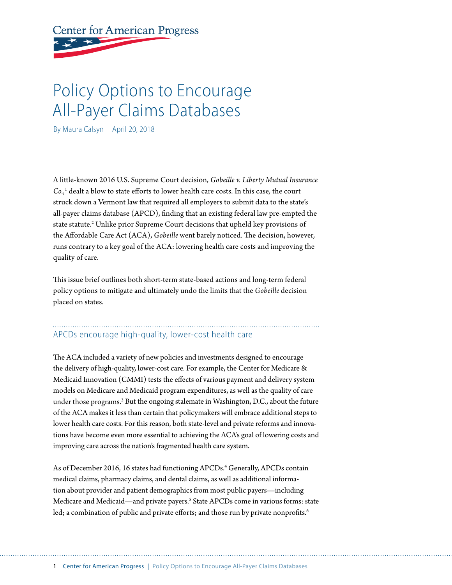# **Center for American Progress**

## Policy Options to Encourage All-Payer Claims Databases

By Maura Calsyn April 20, 2018

A little-known 2016 U.S. Supreme Court decision, *Gobeille v. Liberty Mutual Insurance Co.*, 1 dealt a blow to state efforts to lower health care costs. In this case*,* the court struck down a Vermont law that required all employers to submit data to the state's all-payer claims database (APCD), finding that an existing federal law pre-empted the state statute.<sup>2</sup> Unlike prior Supreme Court decisions that upheld key provisions of the Affordable Care Act (ACA), *Gobeille* went barely noticed. The decision, however, runs contrary to a key goal of the ACA: lowering health care costs and improving the quality of care.

This issue brief outlines both short-term state-based actions and long-term federal policy options to mitigate and ultimately undo the limits that the *Gobeille* decision placed on states.

## APCDs encourage high-quality, lower-cost health care

The ACA included a variety of new policies and investments designed to encourage the delivery of high-quality, lower-cost care. For example, the Center for Medicare & Medicaid Innovation (CMMI) tests the effects of various payment and delivery system models on Medicare and Medicaid program expenditures, as well as the quality of care under those programs.<sup>3</sup> But the ongoing stalemate in Washington, D.C., about the future of the ACA makes it less than certain that policymakers will embrace additional steps to lower health care costs. For this reason, both state-level and private reforms and innovations have become even more essential to achieving the ACA's goal of lowering costs and improving care across the nation's fragmented health care system.

As of December 2016, 16 states had functioning APCDs.<sup>4</sup> Generally, APCDs contain medical claims, pharmacy claims, and dental claims, as well as additional information about provider and patient demographics from most public payers—including Medicare and Medicaid—and private payers.5 State APCDs come in various forms: state led; a combination of public and private efforts; and those run by private nonprofits.<sup>6</sup>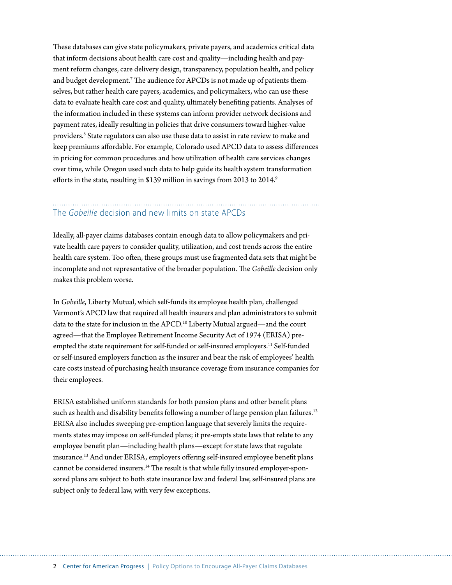These databases can give state policymakers, private payers, and academics critical data that inform decisions about health care cost and quality—including health and payment reform changes, care delivery design, transparency, population health, and policy and budget development. $^7$  The audience for APCDs is not made up of patients themselves, but rather health care payers, academics, and policymakers, who can use these data to evaluate health care cost and quality, ultimately benefiting patients. Analyses of the information included in these systems can inform provider network decisions and payment rates, ideally resulting in policies that drive consumers toward higher-value providers.<sup>8</sup> State regulators can also use these data to assist in rate review to make and keep premiums affordable. For example, Colorado used APCD data to assess differences in pricing for common procedures and how utilization of health care services changes over time, while Oregon used such data to help guide its health system transformation efforts in the state, resulting in \$139 million in savings from 2013 to 2014.<sup>9</sup>

#### The *Gobeille* decision and new limits on state APCDs

Ideally, all-payer claims databases contain enough data to allow policymakers and private health care payers to consider quality, utilization, and cost trends across the entire health care system. Too often, these groups must use fragmented data sets that might be incomplete and not representative of the broader population. The *Gobeille* decision only makes this problem worse.

In *Gobeille*, Liberty Mutual, which self-funds its employee health plan, challenged Vermont's APCD law that required all health insurers and plan administrators to submit data to the state for inclusion in the APCD.<sup>10</sup> Liberty Mutual argued—and the court agreed—that the Employee Retirement Income Security Act of 1974 (ERISA) preempted the state requirement for self-funded or self-insured employers.<sup>11</sup> Self-funded or self-insured employers function as the insurer and bear the risk of employees' health care costs instead of purchasing health insurance coverage from insurance companies for their employees.

ERISA established uniform standards for both pension plans and other benefit plans such as health and disability benefits following a number of large pension plan failures.<sup>12</sup> ERISA also includes sweeping pre-emption language that severely limits the requirements states may impose on self-funded plans; it pre-empts state laws that relate to any employee benefit plan—including health plans—except for state laws that regulate insurance.13 And under ERISA, employers offering self-insured employee benefit plans cannot be considered insurers.<sup>14</sup> The result is that while fully insured employer-sponsored plans are subject to both state insurance law and federal law, self-insured plans are subject only to federal law, with very few exceptions.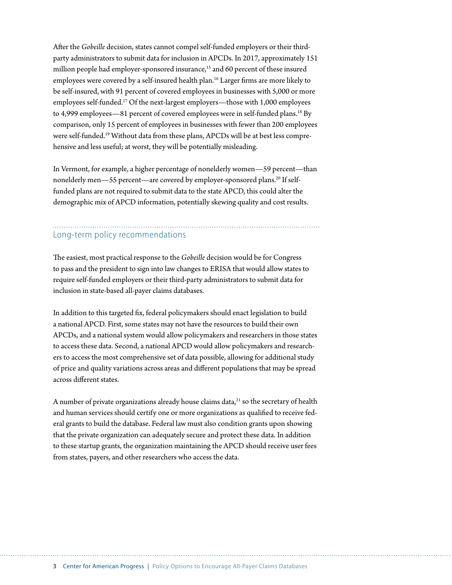After the *Gobeille* decision, states cannot compel self-funded employers or their thirdparty administrators to submit data for inclusion in APCDs. In 2017, approximately 151 million people had employer-sponsored insurance,<sup>15</sup> and 60 percent of these insured employees were covered by a self-insured health plan.<sup>16</sup> Larger firms are more likely to be self-insured, with 91 percent of covered employees in businesses with 5,000 or more employees self-funded.17 Of the next-largest employers—those with 1,000 employees to 4,999 employees—81 percent of covered employees were in self-funded plans.<sup>18</sup> By comparison, only 15 percent of employees in businesses with fewer than 200 employees were self-funded.19 Without data from these plans, APCDs will be at best less comprehensive and less useful; at worst, they will be potentially misleading.

In Vermont, for example, a higher percentage of nonelderly women—59 percent—than nonelderly men—55 percent—are covered by employer-sponsored plans.<sup>20</sup> If selffunded plans are not required to submit data to the state APCD, this could alter the demographic mix of APCD information, potentially skewing quality and cost results.

## Long-term policy recommendations

The easiest, most practical response to the *Gobeille* decision would be for Congress to pass and the president to sign into law changes to ERISA that would allow states to require self-funded employers or their third-party administrators to submit data for inclusion in state-based all-payer claims databases.

In addition to this targeted fix, federal policymakers should enact legislation to build a national APCD. First, some states may not have the resources to build their own APCDs, and a national system would allow policymakers and researchers in those states to access these data. Second, a national APCD would allow policymakers and researchers to access the most comprehensive set of data possible, allowing for additional study of price and quality variations across areas and different populations that may be spread across different states.

A number of private organizations already house claims data, $^{21}$  so the secretary of health and human services should certify one or more organizations as qualified to receive federal grants to build the database. Federal law must also condition grants upon showing that the private organization can adequately secure and protect these data. In addition to these startup grants, the organization maintaining the APCD should receive user fees from states, payers, and other researchers who access the data.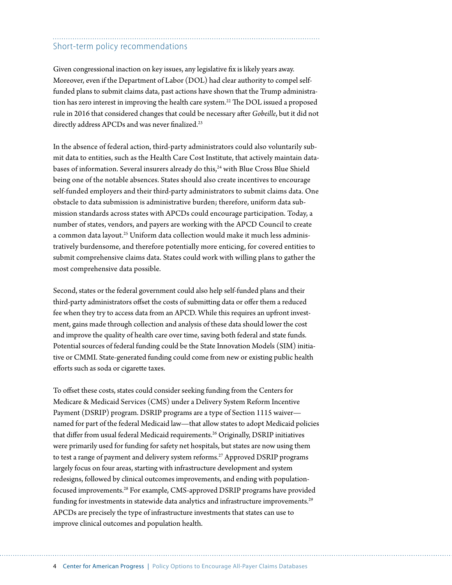#### Short-term policy recommendations

Given congressional inaction on key issues, any legislative fix is likely years away. Moreover, even if the Department of Labor (DOL) had clear authority to compel selffunded plans to submit claims data, past actions have shown that the Trump administration has zero interest in improving the health care system.<sup>22</sup> The DOL issued a proposed rule in 2016 that considered changes that could be necessary after *Gobeille*, but it did not directly address APCDs and was never finalized.<sup>23</sup>

In the absence of federal action, third-party administrators could also voluntarily submit data to entities, such as the Health Care Cost Institute, that actively maintain databases of information. Several insurers already do this,<sup>24</sup> with Blue Cross Blue Shield being one of the notable absences. States should also create incentives to encourage self-funded employers and their third-party administrators to submit claims data. One obstacle to data submission is administrative burden; therefore, uniform data submission standards across states with APCDs could encourage participation. Today, a number of states, vendors, and payers are working with the APCD Council to create a common data layout.<sup>25</sup> Uniform data collection would make it much less administratively burdensome, and therefore potentially more enticing, for covered entities to submit comprehensive claims data. States could work with willing plans to gather the most comprehensive data possible.

Second, states or the federal government could also help self-funded plans and their third-party administrators offset the costs of submitting data or offer them a reduced fee when they try to access data from an APCD. While this requires an upfront investment, gains made through collection and analysis of these data should lower the cost and improve the quality of health care over time, saving both federal and state funds. Potential sources of federal funding could be the State Innovation Models (SIM) initiative or CMMI. State-generated funding could come from new or existing public health efforts such as soda or cigarette taxes.

To offset these costs, states could consider seeking funding from the Centers for Medicare & Medicaid Services (CMS) under a Delivery System Reform Incentive Payment (DSRIP) program. DSRIP programs are a type of Section 1115 waiver named for part of the federal Medicaid law—that allow states to adopt Medicaid policies that differ from usual federal Medicaid requirements.<sup>26</sup> Originally, DSRIP initiatives were primarily used for funding for safety net hospitals, but states are now using them to test a range of payment and delivery system reforms.<sup>27</sup> Approved DSRIP programs largely focus on four areas, starting with infrastructure development and system redesigns, followed by clinical outcomes improvements, and ending with populationfocused improvements.28 For example, CMS-approved DSRIP programs have provided funding for investments in statewide data analytics and infrastructure improvements.<sup>29</sup> APCDs are precisely the type of infrastructure investments that states can use to improve clinical outcomes and population health.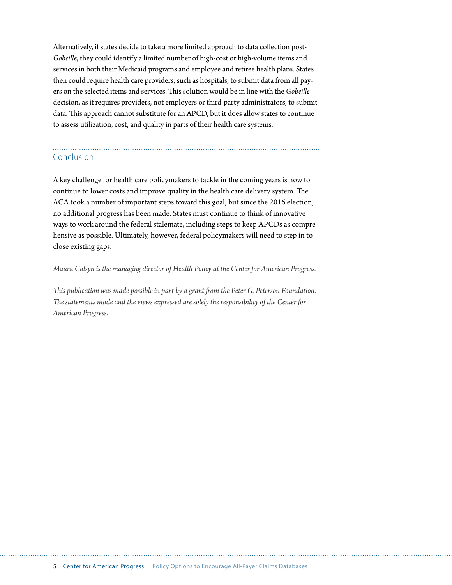Alternatively, if states decide to take a more limited approach to data collection post-*Gobeille*, they could identify a limited number of high-cost or high-volume items and services in both their Medicaid programs and employee and retiree health plans. States then could require health care providers, such as hospitals, to submit data from all payers on the selected items and services. This solution would be in line with the *Gobeille* decision, as it requires providers, not employers or third-party administrators, to submit data. This approach cannot substitute for an APCD, but it does allow states to continue to assess utilization, cost, and quality in parts of their health care systems.

# Conclusion

A key challenge for health care policymakers to tackle in the coming years is how to continue to lower costs and improve quality in the health care delivery system. The ACA took a number of important steps toward this goal, but since the 2016 election, no additional progress has been made. States must continue to think of innovative ways to work around the federal stalemate, including steps to keep APCDs as comprehensive as possible. Ultimately, however, federal policymakers will need to step in to close existing gaps.

#### *Maura Calsyn is the managing director of Health Policy at the Center for American Progress.*

*This publication was made possible in part by a grant from the Peter G. Peterson Foundation. The statements made and the views expressed are solely the responsibility of the Center for American Progress.*